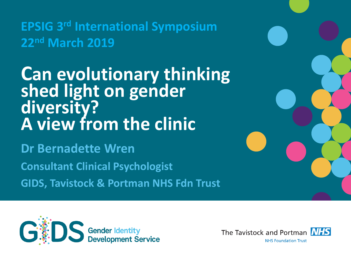# **EPSIG 3rd International Symposium 22nd March 2019**

# **Can evolutionary thinking shed light on gender diversity? A view from the clinic**

**Dr Bernadette Wren Consultant Clinical Psychologist GIDS, Tavistock & Portman NHS Fdn Trust**



The Tavistock and Portman **NHS NHS Foundation Trust** 

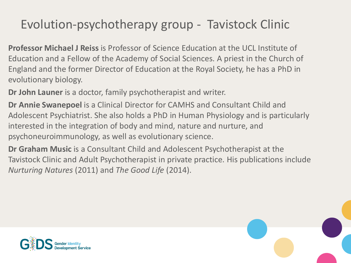## Evolution-psychotherapy group - Tavistock Clinic

**Professor Michael J Reiss** is Professor of Science Education at the UCL Institute of Education and a Fellow of the Academy of Social Sciences. A priest in the Church of England and the former Director of Education at the Royal Society, he has a PhD in evolutionary biology.

**Dr John Launer** is a doctor, family psychotherapist and writer.

**Dr Annie Swanepoel** is a Clinical Director for CAMHS and Consultant Child and Adolescent Psychiatrist. She also holds a PhD in Human Physiology and is particularly interested in the integration of body and mind, nature and nurture, and psychoneuroimmunology, as well as evolutionary science.

**Dr Graham Music** is a Consultant Child and Adolescent Psychotherapist at the Tavistock Clinic and Adult Psychotherapist in private practice. His publications include *Nurturing Natures* (2011) and *The Good Life* (2014).



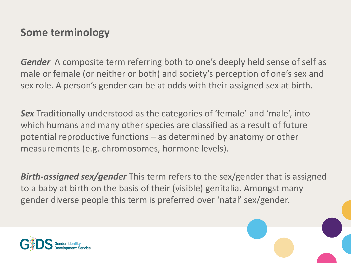#### **Some terminology**

*Gender* A composite term referring both to one's deeply held sense of self as male or female (or neither or both) and society's perception of one's sex and sex role. A person's gender can be at odds with their assigned sex at birth.

**Sex** Traditionally understood as the categories of 'female' and 'male', into which humans and many other species are classified as a result of future potential reproductive functions – as determined by anatomy or other measurements (e.g. chromosomes, hormone levels).

*Birth-assigned sex/gender* This term refers to the sex/gender that is assigned to a baby at birth on the basis of their (visible) genitalia. Amongst many gender diverse people this term is preferred over 'natal' sex/gender.

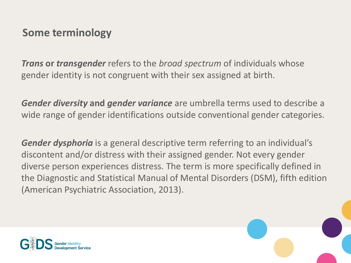#### **Some terminology**

*Trans* **or** *transgender* refers to the *broad spectrum* of individuals whose gender identity is not congruent with their sex assigned at birth.

*Gender diversity* **and** *gender variance* are umbrella terms used to describe a wide range of gender identifications outside conventional gender categories.

*Gender dysphoria* is a general descriptive term referring to an individual's discontent and/or distress with their assigned gender. Not every gender diverse person experiences distress. The term is more specifically defined in the Diagnostic and Statistical Manual of Mental Disorders (DSM), fifth edition (American Psychiatric Association, 2013).



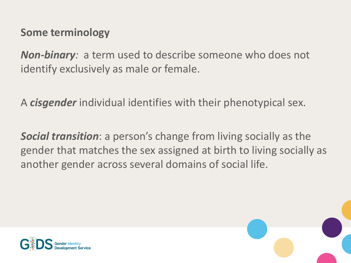#### **Some terminology**

*Non-binary:* a term used to describe someone who does not identify exclusively as male or female.

A *cisgender* individual identifies with their phenotypical sex.

*Social transition*: a person's change from living socially as the gender that matches the sex assigned at birth to living socially as another gender across several domains of social life.



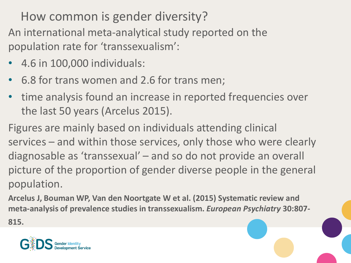How common is gender diversity?

An international meta-analytical study reported on the population rate for 'transsexualism':

- 4.6 in 100,000 individuals:
- 6.8 for trans women and 2.6 for trans men;
- time analysis found an increase in reported frequencies over the last 50 years (Arcelus 2015).

Figures are mainly based on individuals attending clinical services – and within those services, only those who were clearly diagnosable as 'transsexual' – and so do not provide an overall picture of the proportion of gender diverse people in the general population.

**Arcelus J, Bouman WP, Van den Noortgate W et al. (2015) Systematic review and meta-analysis of prevalence studies in transsexualism.** *European Psychiatry* **30:807- 815.**

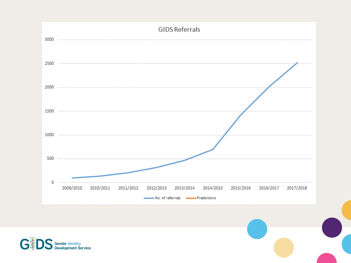



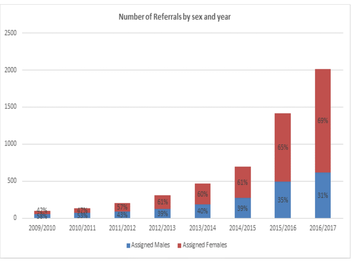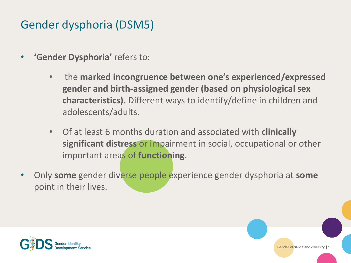### Gender dysphoria (DSM5)

- **'Gender Dysphoria'** refers to:
	- the **marked incongruence between one's experienced/expressed gender and birth-assigned gender (based on physiological sex characteristics).** Different ways to identify/define in children and adolescents/adults.
	- Of at least 6 months duration and associated with **clinically significant distress** or impairment in social, occupational or other important areas of **functioning**.
- Only **some** gender diverse people experience gender dysphoria at **some**  point in their lives.



Gender variance and diversity | 9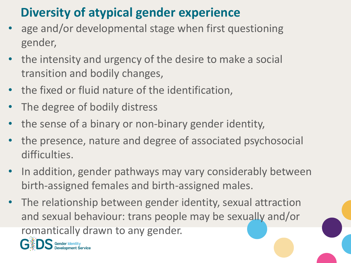## **Diversity of atypical gender experience**

- age and/or developmental stage when first questioning gender,
- the intensity and urgency of the desire to make a social transition and bodily changes,
- the fixed or fluid nature of the identification,
- The degree of bodily distress
- the sense of a binary or non-binary gender identity,
- the presence, nature and degree of associated psychosocial difficulties.
- In addition, gender pathways may vary considerably between birth-assigned females and birth-assigned males.
- The relationship between gender identity, sexual attraction and sexual behaviour: trans people may be sexually and/or romantically drawn to any gender.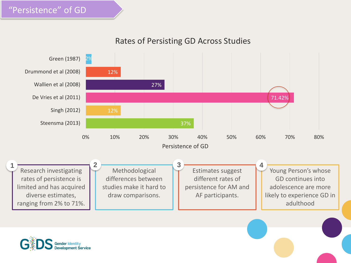#### Rates of Persisting GD Across Studies



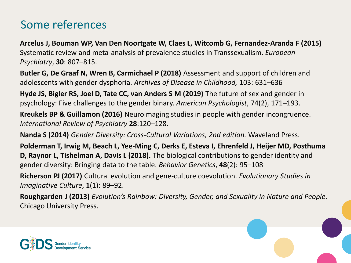### Some references

**Arcelus J, Bouman WP, Van Den Noortgate W, Claes L, Witcomb G, Fernandez-Aranda F (2015)**  Systematic review and meta-analysis of prevalence studies in Transsexualism. *European Psychiatry*, **30**: 807–815.

**Butler G, De Graaf N, Wren B, Carmichael P (2018)** Assessment and support of children and adolescents with gender dysphoria. *Archives of Disease in Childhood,* 103: 631–636

**Hyde JS, Bigler RS, Joel D, Tate CC, van Anders S M (2019)** The future of sex and gender in psychology: Five challenges to the gender binary. *American Psychologist*, 74(2), 171–193.

**Kreukels BP & Guillamon (2016)** Neuroimaging studies in people with gender incongruence. *International Review of Psychiatry* **28**:120–128.

**Nanda S (2014)** *Gender Diversity: Cross-Cultural Variations, 2nd edition.* Waveland Press.

**Polderman T, Irwig M, Beach L, Yee-Ming C, Derks E, Esteva I, Ehrenfeld J, Heijer MD, Posthuma D, Raynor L, Tishelman A, Davis L (2018).** The biological contributions to gender identity and gender diversity: Bringing data to the table. *Behavior Genetics*, **48**(2): 95–108

**Richerson PJ (2017)** Cultural evolution and gene-culture coevolution. *Evolutionary Studies in Imaginative Culture*, **1**(1): 89–92.

**Roughgarden J (2013)** *Evolution's Rainbow: Diversity, Gender, and Sexuality in Nature and People*. Chicago University Press.